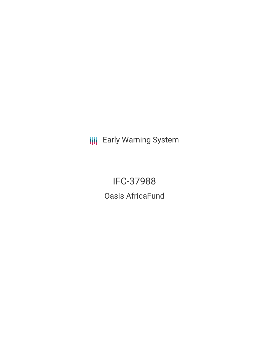**III** Early Warning System

IFC-37988 Oasis AfricaFund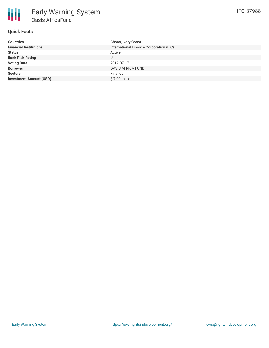# **Quick Facts**

| <b>Countries</b>               | Ghana, Ivory Coast                      |
|--------------------------------|-----------------------------------------|
| <b>Financial Institutions</b>  | International Finance Corporation (IFC) |
| <b>Status</b>                  | Active                                  |
| <b>Bank Risk Rating</b>        | U                                       |
| <b>Voting Date</b>             | 2017-07-17                              |
| <b>Borrower</b>                | <b>OASIS AFRICA FUND</b>                |
| <b>Sectors</b>                 | Finance                                 |
| <b>Investment Amount (USD)</b> | \$7.00 million                          |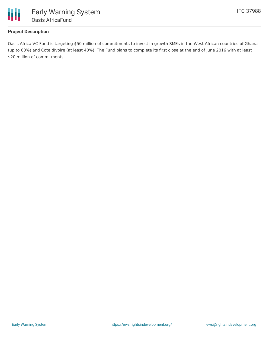

## **Project Description**

Oasis Africa VC Fund is targeting \$50 million of commitments to invest in growth SMEs in the West African countries of Ghana (up to 60%) and Cote dIvoire (at least 40%). The Fund plans to complete its first close at the end of June 2016 with at least \$20 million of commitments.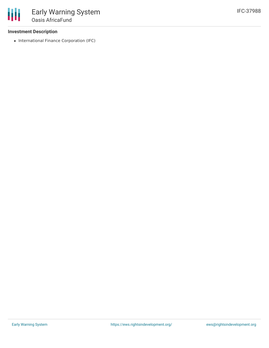### **Investment Description**

• International Finance Corporation (IFC)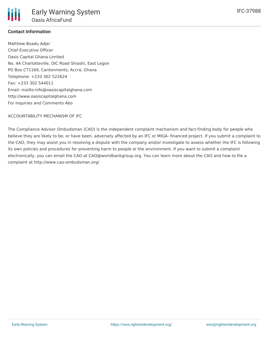

# **Contact Information**

Matthew Boadu Adjei Chief Executive Officer Oasis Capital Ghana Limited No. 4A Charlotteville, OIC Road Shiashi, East Legon PO Box CT1169, Cantonments, Accra, Ghana Telephone: +233 302 522624 Fax: +233 302 544011 Email: mailto:info@oasiscapitalghana.com http://www.oasiscapitalghana.com For Inquiries and Comments Abo

### ACCOUNTABILITY MECHANISM OF IFC

The Compliance Advisor Ombudsman (CAO) is the independent complaint mechanism and fact-finding body for people who believe they are likely to be, or have been, adversely affected by an IFC or MIGA- financed project. If you submit a complaint to the CAO, they may assist you in resolving a dispute with the company and/or investigate to assess whether the IFC is following its own policies and procedures for preventing harm to people or the environment. If you want to submit a complaint electronically, you can email the CAO at CAO@worldbankgroup.org. You can learn more about the CAO and how to file a complaint at http://www.cao-ombudsman.org/